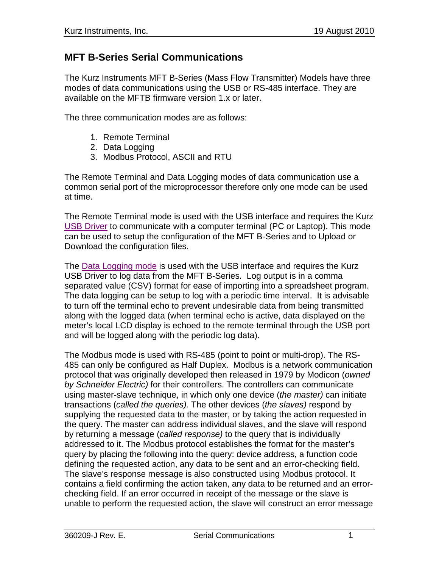## **MFT B-Series Serial Communications**

The Kurz Instruments MFT B-Series (Mass Flow Transmitter) Models have three modes of data communications using the USB or RS-485 interface. They are available on the MFTB firmware version 1.x or later.

The three communication modes are as follows:

- 1. Remote Terminal
- 2. Data Logging
- 3. Modbus Protocol, ASCII and RTU

The Remote Terminal and Data Logging modes of data communication use a common serial port of the microprocessor therefore only one mode can be used at time.

The Remote Terminal mode is used with the USB interface and requires the Kurz USB Driver to communicate with a computer terminal (PC or Laptop). This mode can be used to setup the configuration of the MFT B-Series and to Upload or Download the configuration files.

The **Data Logging mode** is used with the USB interface and requires the Kurz USB Driver to log data from the MFT B-Series. Log output is in a comma separated value (CSV) format for ease of importing into a spreadsheet program. The data logging can be setup to log with a periodic time interval. It is advisable to turn off the terminal echo to prevent undesirable data from being transmitted along with the logged data (when terminal echo is active, data displayed on the meter's local LCD display is echoed to the remote terminal through the USB port and will be logged along with the periodic log data).

The Modbus mode is used with RS-485 (point to point or multi-drop). The RS-485 can only be configured as Half Duplex. Modbus is a network communication protocol that was originally developed then released in 1979 by Modicon (*owned by Schneider Electric)* for their controllers. The controllers can communicate using master-slave technique, in which only one device (*the master)* can initiate transactions (*called the queries).* The other devices (*the slaves)* respond by supplying the requested data to the master, or by taking the action requested in the query. The master can address individual slaves, and the slave will respond by returning a message (*called response)* to the query that is individually addressed to it. The Modbus protocol establishes the format for the master's query by placing the following into the query: device address, a function code defining the requested action, any data to be sent and an error-checking field. The slave's response message is also constructed using Modbus protocol. It contains a field confirming the action taken, any data to be returned and an errorchecking field. If an error occurred in receipt of the message or the slave is unable to perform the requested action, the slave will construct an error message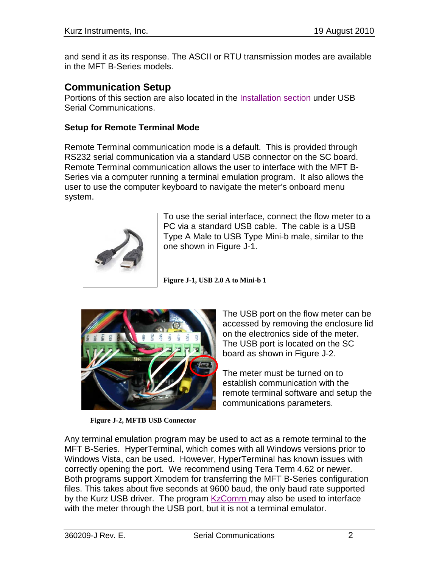and send it as its response. The ASCII or RTU transmission modes are available in the MFT B-Series models.

### **Communication Setup**

Portions of this section are also located in the Installation section under USB Serial Communications.

### **Setup for Remote Terminal Mode**

Remote Terminal communication mode is a default. This is provided through RS232 serial communication via a standard USB connector on the SC board. Remote Terminal communication allows the user to interface with the MFT B-Series via a computer running a terminal emulation program. It also allows the user to use the computer keyboard to navigate the meter's onboard menu system.



To use the serial interface, connect the flow meter to a PC via a standard USB cable. The cable is a USB Type A Male to USB Type Mini-b male, similar to the one shown in Figure J-1.

**Figure J-1, USB 2.0 A to Mini-b 1**



**Figure J-2, MFTB USB Connector**

The USB port on the flow meter can be accessed by removing the enclosure lid on the electronics side of the meter. The USB port is located on the SC board as shown in Figure J-2.

The meter must be turned on to establish communication with the remote terminal software and setup the communications parameters.

Any terminal emulation program may be used to act as a remote terminal to the MFT B-Series. HyperTerminal, which comes with all Windows versions prior to Windows Vista, can be used. However, HyperTerminal has known issues with correctly opening the port. We recommend using Tera Term 4.62 or newer. Both programs support Xmodem for transferring the MFT B-Series configuration files. This takes about five seconds at 9600 baud, the only baud rate supported by the Kurz USB driver. The program KzComm may also be used to interface with the meter through the USB port, but it is not a terminal emulator.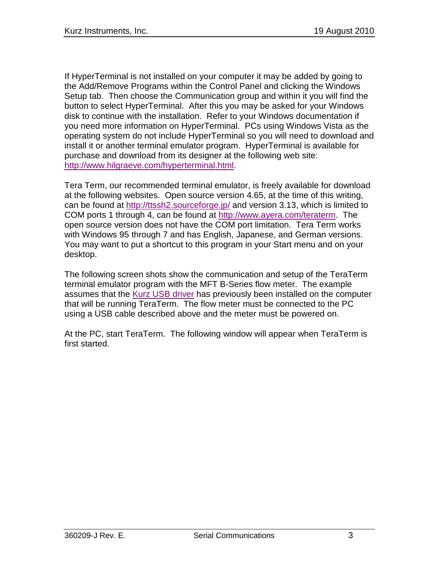If HyperTerminal is not installed on your computer it may be added by going to the Add/Remove Programs within the Control Panel and clicking the Windows Setup tab. Then choose the Communication group and within it you will find the button to select HyperTerminal. After this you may be asked for your Windows disk to continue with the installation. Refer to your Windows documentation if you need more information on HyperTerminal. PCs using Windows Vista as the operating system do not include HyperTerminal so you will need to download and install it or another terminal emulator program. HyperTerminal is available for purchase and download from its designer at the following web site: [http://www.hilgraeve.com/hyperterminal.html.](http://www.hilgraeve.com/hyperterminal.html)

Tera Term, our recommended terminal emulator, is freely available for download at the following websites. Open source version 4.65, at the time of this writing, can be found at<http://ttssh2.sourceforge.jp/> and version 3.13, which is limited to COM ports 1 through 4, can be found at [http://www.ayera.com/teraterm.](http://www.ayera.com/teraterm) The open source version does not have the COM port limitation. Tera Term works with Windows 95 through 7 and has English, Japanese, and German versions. You may want to put a shortcut to this program in your Start menu and on your desktop.

The following screen shots show the communication and setup of the TeraTerm terminal emulator program with the MFT B-Series flow meter. The example assumes that the Kurz USB driver has previously been installed on the computer that will be running TeraTerm. The flow meter must be connected to the PC using a USB cable described above and the meter must be powered on.

At the PC, start TeraTerm. The following window will appear when TeraTerm is first started.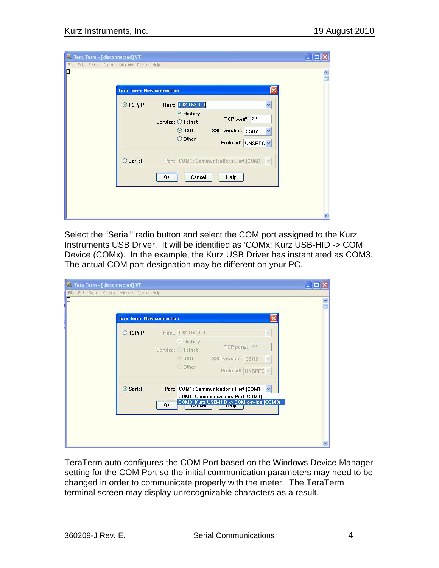| <b>Tera Term: New connection</b> |                                                                                                                                                          |                              |
|----------------------------------|----------------------------------------------------------------------------------------------------------------------------------------------------------|------------------------------|
| $\odot$ TCP/IP                   | Host: 192.168.1.3<br>$\triangleright$ History<br>TCP port#: 22<br>Service: O Telnet<br>$\odot$ SSH<br>SSH version: SSH2<br>O Other<br>Protocol: UNSPEC V | $\checkmark$<br>$\checkmark$ |
| $\bigcirc$ Serial                | Port: COM1: Communications Port [COM1] v<br>Cancel<br><b>OK</b><br>Help                                                                                  |                              |

Select the "Serial" radio button and select the COM port assigned to the Kurz Instruments USB Driver. It will be identified as 'COMx: Kurz USB-HID -> COM Device (COMx). In the example, the Kurz USB Driver has instantiated as COM3. The actual COM port designation may be different on your PC.

| Tera Term - [disconnected] VT<br>Edit Setup Control Window Resize Help<br>File |                                              |    |                                                                             |                                                                                                                                         |  | $\blacksquare$<br>$\frac{1}{\sqrt{2}}$ |
|--------------------------------------------------------------------------------|----------------------------------------------|----|-----------------------------------------------------------------------------|-----------------------------------------------------------------------------------------------------------------------------------------|--|----------------------------------------|
|                                                                                | <b>Tera Term: New connection</b><br>○ ТСР∕ІР |    | Host: 192.168.1.3<br>√ History<br>Service: Telnet<br>$\circ$ SSH<br>O Other | <b>TCP port#: 22</b><br>SSH version: SSH2<br>Protocol: UNSPEC v                                                                         |  |                                        |
|                                                                                | ⊙ Serial                                     | OK | <b>CallCCI</b>                                                              | Port: COM1: Communications Port [COM1] v<br><b>COM1: Communications Port (COM1)</b><br>COM3: Kurz USB-HID -> COM device [COM3]<br>TICID |  |                                        |

TeraTerm auto configures the COM Port based on the Windows Device Manager setting for the COM Port so the initial communication parameters may need to be changed in order to communicate properly with the meter. The TeraTerm terminal screen may display unrecognizable characters as a result.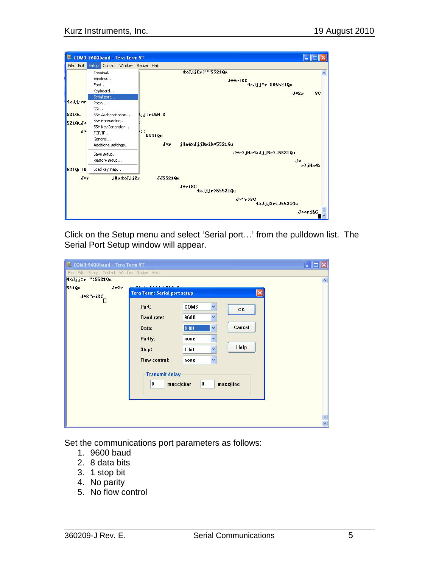

Click on the Setup menu and select 'Serial port…' from the pulldown list. The Serial Port Setup window will appear.

| COM3: 9600baud - Tera Term VT              |                                        |                               |           |                     |
|--------------------------------------------|----------------------------------------|-------------------------------|-----------|---------------------|
| File Edit Setup Control Window Resize Help |                                        |                               |           |                     |
| 4zJjj:r ":5521Qu                           |                                        |                               |           | $\hat{\phantom{a}}$ |
| <b>521Qu</b><br>$J*2r$                     | <b>COLLECTION</b><br>A. 1 . 1 . 1010 0 |                               |           |                     |
| J*2"riSC                                   | <b>Tera Term: Serial port setup</b>    |                               |           |                     |
| П                                          | Port:                                  | COM3<br>Y                     | OK        |                     |
|                                            | <b>Baud rate:</b>                      | Y<br>9600                     |           |                     |
|                                            | Data:                                  | $\ddot{\mathbf{v}}$<br>8 bit  | Cancel    |                     |
|                                            | Parity:                                | Y<br>none                     |           |                     |
|                                            | Stop:                                  | $\ddot{\phantom{1}}$<br>1 bit | Help      |                     |
|                                            | Flow control:                          | ×<br>none                     |           |                     |
|                                            | <b>Transmit delay</b><br>$\bf{0}$      | 0<br>msec/char                | msec/line |                     |
|                                            |                                        |                               |           |                     |

Set the communications port parameters as follows:

- 1. 9600 baud
- 2. 8 data bits
- 3. 1 stop bit
- 4. No parity
- 5. No flow control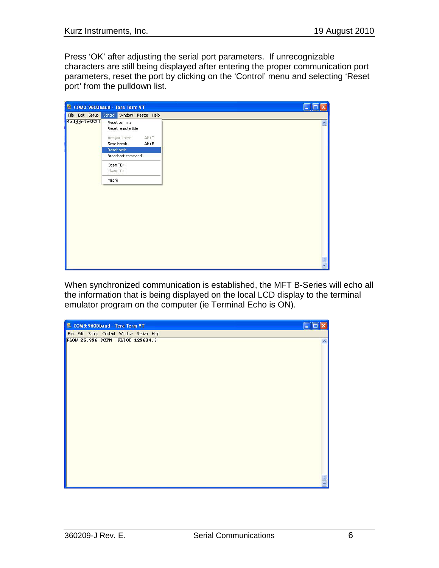Press 'OK' after adjusting the serial port parameters. If unrecognizable characters are still being displayed after entering the proper communication port parameters, reset the port by clicking on the 'Control' menu and selecting 'Reset port' from the pulldown list.

|              | COM3:9600baud - Tera Term VT                        | Е                   |
|--------------|-----------------------------------------------------|---------------------|
|              | File Edit Setup Control Window Resize Help          |                     |
| 4zJjjr>*5521 | Reset terminal<br>Reset remote title                | $\hat{\phantom{a}}$ |
|              | Are you there<br>$Alt+T$<br>Send break<br>$Alt + B$ |                     |
|              | Reset port                                          |                     |
|              | Broadcast command                                   |                     |
|              | Open TEK                                            |                     |
|              | Close TEK                                           |                     |
|              | Macro                                               |                     |
|              |                                                     | $\frac{1}{2}$       |
|              |                                                     |                     |

When synchronized communication is established, the MFT B-Series will echo all the information that is being displayed on the local LCD display to the terminal emulator program on the computer (ie Terminal Echo is ON).

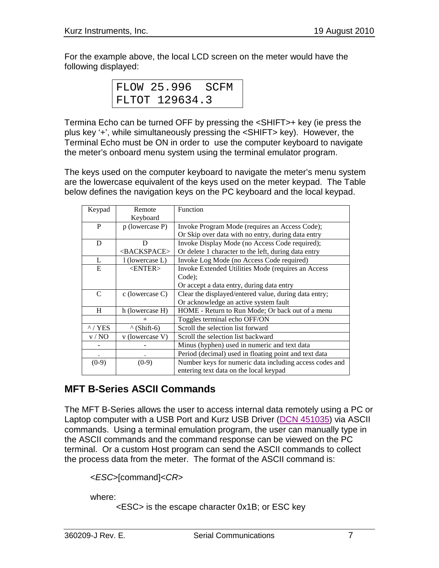For the example above, the local LCD screen on the meter would have the following displayed:

| FLOW 25.996 SCFM |  |  |
|------------------|--|--|
| FLTOT 129634.3   |  |  |

Termina Echo can be turned OFF by pressing the <SHIFT>+ key (ie press the plus key '+', while simultaneously pressing the <SHIFT> key). However, the Terminal Echo must be ON in order to use the computer keyboard to navigate the meter's onboard menu system using the terminal emulator program.

The keys used on the computer keyboard to navigate the meter's menu system are the lowercase equivalent of the keys used on the meter keypad. The Table below defines the navigation keys on the PC keyboard and the local keypad.

| Keypad        | Remote                  | Function                                                |  |
|---------------|-------------------------|---------------------------------------------------------|--|
|               | Keyboard                |                                                         |  |
| P             | p (lowercase P)         | Invoke Program Mode (requires an Access Code);          |  |
|               |                         | Or Skip over data with no entry, during data entry      |  |
| D             | D                       | Invoke Display Mode (no Access Code required);          |  |
|               | <backspace></backspace> | Or delete 1 character to the left, during data entry    |  |
| L             | 1 (lowercase L)         | Invoke Log Mode (no Access Code required)               |  |
| E             | $<$ ENTER $>$           | Invoke Extended Utilities Mode (requires an Access      |  |
|               |                         | Code);                                                  |  |
|               |                         | Or accept a data entry, during data entry               |  |
| C             | $c$ (lowercase C)       | Clear the displayed/entered value, during data entry;   |  |
|               |                         | Or acknowledge an active system fault                   |  |
| H             | h (lowercase H)         | HOME - Return to Run Mode; Or back out of a menu        |  |
|               | $^{+}$                  | Toggles terminal echo OFF/ON                            |  |
| $\land$ / YES | $\wedge$ (Shift-6)      | Scroll the selection list forward                       |  |
| v/NO          | v (lowercase V)         | Scroll the selection list backward                      |  |
|               |                         | Minus (hyphen) used in numeric and text data            |  |
|               |                         | Period (decimal) used in floating point and text data   |  |
| $(0-9)$       | $(0-9)$                 | Number keys for numeric data including access codes and |  |
|               |                         | entering text data on the local keypad                  |  |

# **MFT B-Series ASCII Commands**

The MFT B-Series allows the user to access internal data remotely using a PC or Laptop computer with a USB Port and Kurz USB Driver (DCN 451035) via ASCII commands. Using a terminal emulation program, the user can manually type in the ASCII commands and the command response can be viewed on the PC terminal. Or a custom Host program can send the ASCII commands to collect the process data from the meter. The format of the ASCII command is:

<*ESC*>[command]<*CR*>

where:

<ESC> is the escape character 0x1B; or ESC key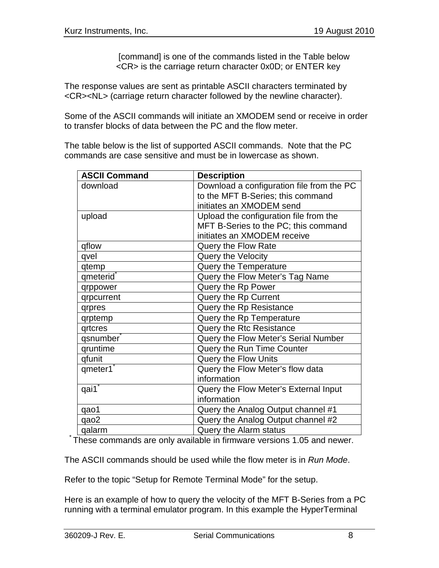[command] is one of the commands listed in the Table below <CR> is the carriage return character 0x0D; or ENTER key

The response values are sent as printable ASCII characters terminated by <CR><NL> (carriage return character followed by the newline character).

Some of the ASCII commands will initiate an XMODEM send or receive in order to transfer blocks of data between the PC and the flow meter.

The table below is the list of supported ASCII commands. Note that the PC commands are case sensitive and must be in lowercase as shown.

| <b>ASCII Command</b> | <b>Description</b>                        |
|----------------------|-------------------------------------------|
| download             | Download a configuration file from the PC |
|                      | to the MFT B-Series; this command         |
|                      | initiates an XMODEM send                  |
| upload               | Upload the configuration file from the    |
|                      | MFT B-Series to the PC; this command      |
|                      | initiates an XMODEM receive               |
| qflow                | Query the Flow Rate                       |
| qvel                 | Query the Velocity                        |
| qtemp                | Query the Temperature                     |
| qmeterid®            | Query the Flow Meter's Tag Name           |
| qrppower             | Query the Rp Power                        |
| qrpcurrent           | Query the Rp Current                      |
| qrpres               | Query the Rp Resistance                   |
| qrptemp              | Query the Rp Temperature                  |
| qrtcres              | <b>Query the Rtc Resistance</b>           |
| qsnumber             | Query the Flow Meter's Serial Number      |
| qruntime             | Query the Run Time Counter                |
| qfunit               | <b>Query the Flow Units</b>               |
| qmeter1              | Query the Flow Meter's flow data          |
|                      | information                               |
| qai1                 | Query the Flow Meter's External Input     |
|                      | information                               |
| qao1                 | Query the Analog Output channel #1        |
| qao2                 | Query the Analog Output channel #2        |
| qalarm               | Query the Alarm status                    |

\* These commands are only available in firmware versions 1.05 and newer.

The ASCII commands should be used while the flow meter is in *Run Mode*.

Refer to the topic "Setup for Remote Terminal Mode" for the setup.

Here is an example of how to query the velocity of the MFT B-Series from a PC running with a terminal emulator program. In this example the HyperTerminal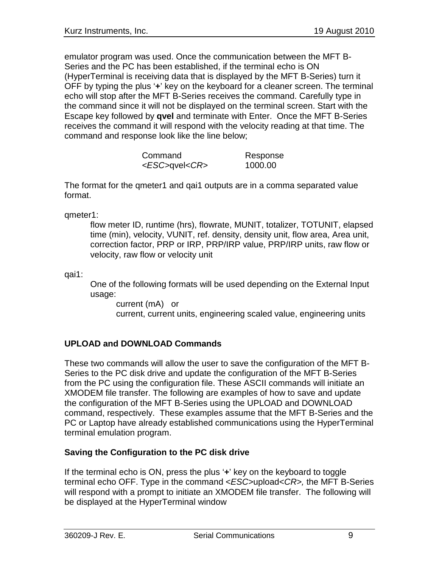emulator program was used. Once the communication between the MFT B-Series and the PC has been established, if the terminal echo is ON (HyperTerminal is receiving data that is displayed by the MFT B-Series) turn it OFF by typing the plus '**+**' key on the keyboard for a cleaner screen. The terminal echo will stop after the MFT B-Series receives the command. Carefully type in the command since it will not be displayed on the terminal screen. Start with the Escape key followed by **qvel** and terminate with Enter. Once the MFT B-Series receives the command it will respond with the velocity reading at that time. The command and response look like the line below;

| Command                  | Response |
|--------------------------|----------|
| <esc>qvel<cr></cr></esc> | 1000.00  |

The format for the qmeter1 and qai1 outputs are in a comma separated value format.

qmeter1:

flow meter ID, runtime (hrs), flowrate, MUNIT, totalizer, TOTUNIT, elapsed time (min), velocity, VUNIT, ref. density, density unit, flow area, Area unit, correction factor, PRP or IRP, PRP/IRP value, PRP/IRP units, raw flow or velocity, raw flow or velocity unit

qai1:

One of the following formats will be used depending on the External Input usage:

current (mA) or current, current units, engineering scaled value, engineering units

### **UPLOAD and DOWNLOAD Commands**

These two commands will allow the user to save the configuration of the MFT B-Series to the PC disk drive and update the configuration of the MFT B-Series from the PC using the configuration file. These ASCII commands will initiate an XMODEM file transfer. The following are examples of how to save and update the configuration of the MFT B-Series using the UPLOAD and DOWNLOAD command, respectively. These examples assume that the MFT B-Series and the PC or Laptop have already established communications using the HyperTerminal terminal emulation program.

### **Saving the Configuration to the PC disk drive**

If the terminal echo is ON, press the plus '**+**' key on the keyboard to toggle terminal echo OFF. Type in the command <*ESC>*upload<*CR>,* the MFT B-Series will respond with a prompt to initiate an XMODEM file transfer. The following will be displayed at the HyperTerminal window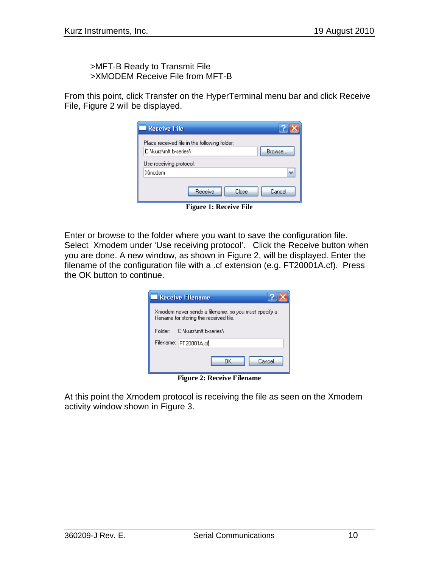>MFT-B Ready to Transmit File >XMODEM Receive File from MFT-B

From this point, click Transfer on the HyperTerminal menu bar and click Receive File, Figure 2 will be displayed.

| <b>Receive File</b>                          |        |
|----------------------------------------------|--------|
| Place received file in the following folder: |        |
| C:\kurz\mft b-series\                        | Browse |
| Use receiving protocol:                      |        |
| Xmodem                                       |        |
| Receive<br>Close                             | Cancel |

**Figure 1: Receive File**

Enter or browse to the folder where you want to save the configuration file. Select Xmodem under 'Use receiving protocol'. Click the Receive button when you are done. A new window, as shown in Figure 2, will be displayed. Enter the filename of the configuration file with a .cf extension (e.g. FT20001A.cf). Press the OK button to continue.

|         | <b>Receive Filename</b>                                                                         |  |
|---------|-------------------------------------------------------------------------------------------------|--|
|         | Xmodem never sends a filename, so you must specify a<br>filename for storing the received file. |  |
| Folder: | C:\kurz\mft b-series\                                                                           |  |
|         | Filename: FT20001A.cf                                                                           |  |
|         | Cancel<br>OΚ                                                                                    |  |
|         | <b>Figure 2: Receive Filename</b>                                                               |  |

At this point the Xmodem protocol is receiving the file as seen on the Xmodem activity window shown in Figure 3.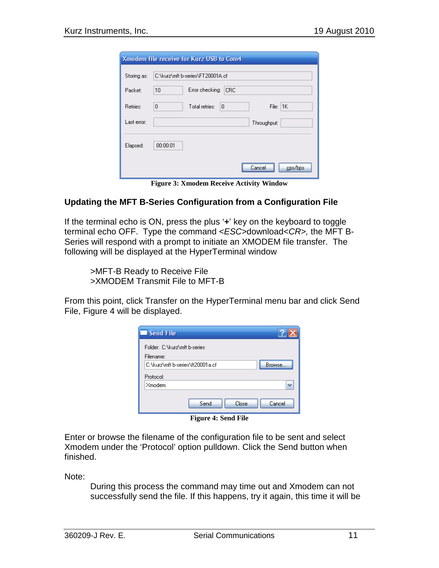|             | Xmodem file receive for Kurz USB to Com4 |
|-------------|------------------------------------------|
| Storing as: | C:\kurz\mft b-series\FT20001A.cf         |
| Packet:     | Error checking:<br><b>CRC</b><br>10      |
| Retries:    | 0<br>File: $ 1K $<br>Total retries:<br>0 |
| Last error: | Throughput:                              |
| Elapsed:    | 00:00:01                                 |
|             | cps/bps<br>Cancel                        |

**Figure 3: Xmodem Receive Activity Window**

#### **Updating the MFT B-Series Configuration from a Configuration File**

If the terminal echo is ON, press the plus '**+**' key on the keyboard to toggle terminal echo OFF. Type the command <*ESC>*download<*CR>,* the MFT B-Series will respond with a prompt to initiate an XMODEM file transfer. The following will be displayed at the HyperTerminal window

>MFT-B Ready to Receive File >XMODEM Transmit File to MFT-B

From this point, click Transfer on the HyperTerminal menu bar and click Send File, Figure 4 will be displayed.

| Send File                                  |
|--------------------------------------------|
| Folder: C:\kurz\mft b-series<br>Filename:  |
| C:\kurz\mft b-series\ft20001a.cf<br>Browse |
| Protocol:                                  |
| Xmodem                                     |
| Send<br>Close<br>Cancel                    |

**Figure 4: Send File**

Enter or browse the filename of the configuration file to be sent and select Xmodem under the 'Protocol' option pulldown. Click the Send button when finished.

Note:

During this process the command may time out and Xmodem can not successfully send the file. If this happens, try it again, this time it will be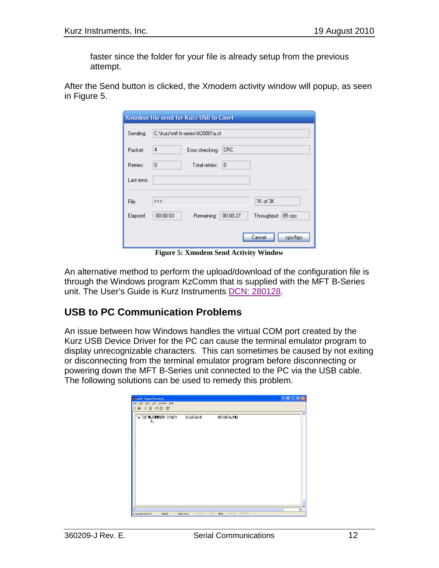faster since the folder for your file is already setup from the previous attempt.

| After the Send button is clicked, the Xmodem activity window will popup, as seen |  |  |  |  |
|----------------------------------------------------------------------------------|--|--|--|--|
| in Figure 5.                                                                     |  |  |  |  |

| Xmodem file send for Kurz USB to Com4 |                                                             |  |  |  |
|---------------------------------------|-------------------------------------------------------------|--|--|--|
| Sending:                              | C:\kurz\mft b-series\ft20001a.cf                            |  |  |  |
| Packet:                               | <b>CRC</b><br>4<br>Error checking:                          |  |  |  |
| Retries:                              | 0<br>$\Omega$<br>Total retries:                             |  |  |  |
| Last error:                           |                                                             |  |  |  |
| File:                                 | 1K of 3K<br>1111                                            |  |  |  |
| Elapsed:                              | 00:00:03<br>00:00:27<br>Throughput:<br>Remaining:<br>85 cps |  |  |  |
|                                       | Cancel<br>cps/bps                                           |  |  |  |

**Figure 5: Xmodem Send Activity Window**

An alternative method to perform the upload/download of the configuration file is through the Windows program KzComm that is supplied with the MFT B-Series unit. The User's Guide is Kurz Instruments DCN: 280128.

### **USB to PC Communication Problems**

An issue between how Windows handles the virtual COM port created by the Kurz USB Device Driver for the PC can cause the terminal emulator program to display unrecognizable characters. This can sometimes be caused by not exiting or disconnecting from the terminal emulator program before disconnecting or powering down the MFT B-Series unit connected to the PC via the USB cable. The following solutions can be used to remedy this problem.

| ۵_ | 'w"I8"@iE@VOPR @TOC! | %0q%0Gr@ | @900FYy!Bi |  |
|----|----------------------|----------|------------|--|
|    |                      |          |            |  |
|    |                      |          |            |  |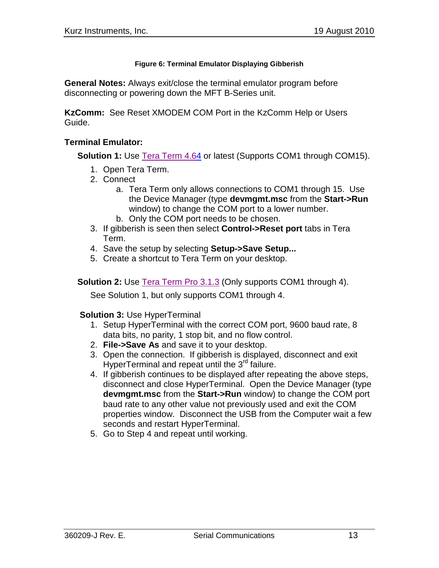#### **Figure 6: Terminal Emulator Displaying Gibberish**

**General Notes:** Always exit/close the terminal emulator program before disconnecting or powering down the MFT B-Series unit.

**KzComm:** See Reset XMODEM COM Port in the KzComm Help or Users Guide.

#### **Terminal Emulator:**

**Solution 1:** Use [T](http://ttssh2.sourceforge.jp/)era Term 4.[64](http://ttssh2.sourceforge.jp/) or latest (Supports COM1 through COM15).

- 1. Open Tera Term.
- 2. Connect
	- a. Tera Term only allows connections to COM1 through 15. Use the Device Manager (type **devmgmt.msc** from the **Start->Run** window) to change the COM port to a lower number.
	- b. Only the COM port needs to be chosen.
- 3. If gibberish is seen then select **Control->Reset port** tabs in Tera Term.
- 4. Save the setup by selecting **Setup->Save Setup...**
- 5. Create a shortcut to Tera Term on your desktop.

**Solution 2:** Use [Tera Term Pro 3.1.3](http://www.ayera.com/teraterm/) (Only supports COM1 through 4).

See Solution 1, but only supports COM1 through 4.

#### **Solution 3:** Use HyperTerminal

- 1. Setup HyperTerminal with the correct COM port, 9600 baud rate, 8 data bits, no parity, 1 stop bit, and no flow control.
- 2. **File->Save As** and save it to your desktop.
- 3. Open the connection. If gibberish is displayed, disconnect and exit HyperTerminal and repeat until the 3<sup>rd</sup> failure.
- 4. If gibberish continues to be displayed after repeating the above steps, disconnect and close HyperTerminal. Open the Device Manager (type **devmgmt.msc** from the **Start->Run** window) to change the COM port baud rate to any other value not previously used and exit the COM properties window. Disconnect the USB from the Computer wait a few seconds and restart HyperTerminal.
- 5. Go to Step 4 and repeat until working.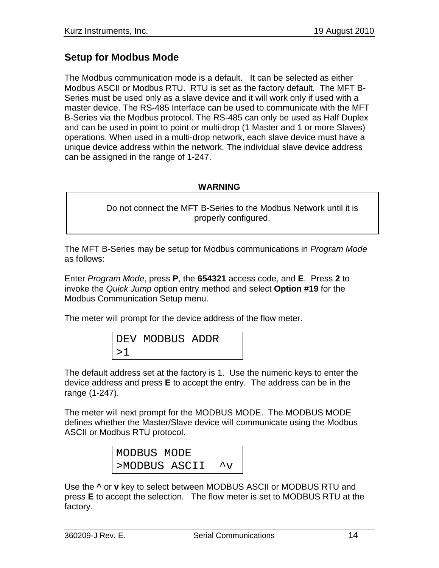### **Setup for Modbus Mode**

The Modbus communication mode is a default. It can be selected as either Modbus ASCII or Modbus RTU. RTU is set as the factory default. The MFT B-Series must be used only as a slave device and it will work only if used with a master device. The RS-485 Interface can be used to communicate with the MFT B-Series via the Modbus protocol. The RS-485 can only be used as Half Duplex and can be used in point to point or multi-drop (1 Master and 1 or more Slaves) operations. When used in a multi-drop network, each slave device must have a unique device address within the network. The individual slave device address can be assigned in the range of 1-247.

### **WARNING**

Do not connect the MFT B-Series to the Modbus Network until it is properly configured.

The MFT B-Series may be setup for Modbus communications in *Program Mode* as follows:

Enter *Program Mode*, press **P**, the **654321** access code, and **E**. Press **2** to invoke the *Quick Jump* option entry method and select **Option #19** for the Modbus Communication Setup menu.

The meter will prompt for the device address of the flow meter.

DEV MODBUS ADDR >1

The default address set at the factory is 1. Use the numeric keys to enter the device address and press **E** to accept the entry. The address can be in the range (1-247).

The meter will next prompt for the MODBUS MODE. The MODBUS MODE defines whether the Master/Slave device will communicate using the Modbus ASCII or Modbus RTU protocol.

| MODBUS MODE   |                      |
|---------------|----------------------|
| >MODBUS ASCII | $\mathcal{L}_{\tau}$ |

Use the **^** or **v** key to select between MODBUS ASCII or MODBUS RTU and press **E** to accept the selection. The flow meter is set to MODBUS RTU at the factory.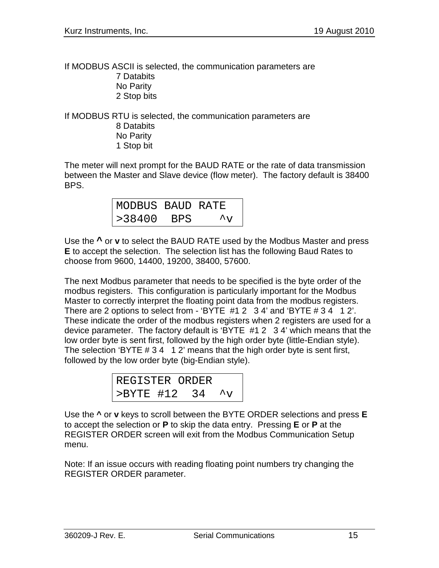If MODBUS ASCII is selected, the communication parameters are 7 Databits No Parity 2 Stop bits

If MODBUS RTU is selected, the communication parameters are 8 Databits No Parity 1 Stop bit

The meter will next prompt for the BAUD RATE or the rate of data transmission between the Master and Slave device (flow meter). The factory default is 38400 BPS.

| MODBUS BAUD RATE |     |                      |
|------------------|-----|----------------------|
| >38400           | BPS | $\mathcal{L}_{\tau}$ |

Use the **^** or **v** to select the BAUD RATE used by the Modbus Master and press **E** to accept the selection. The selection list has the following Baud Rates to choose from 9600, 14400, 19200, 38400, 57600.

The next Modbus parameter that needs to be specified is the byte order of the modbus registers. This configuration is particularly important for the Modbus Master to correctly interpret the floating point data from the modbus registers. There are 2 options to select from - 'BYTE #1 2 3 4' and 'BYTE # 3 4 1 2'. These indicate the order of the modbus registers when 2 registers are used for a device parameter. The factory default is 'BYTE #1 2 3 4' which means that the low order byte is sent first, followed by the high order byte (little-Endian style). The selection 'BYTE # 3 4 1 2' means that the high order byte is sent first, followed by the low order byte (big-Endian style).

| REGISTER ORDER |  |                      |
|----------------|--|----------------------|
| >BYTE #12 34   |  | $\mathcal{L}_{\tau}$ |

Use the **^** or **v** keys to scroll between the BYTE ORDER selections and press **E** to accept the selection or **P** to skip the data entry. Pressing **E** or **P** at the REGISTER ORDER screen will exit from the Modbus Communication Setup menu.

Note: If an issue occurs with reading floating point numbers try changing the REGISTER ORDER parameter.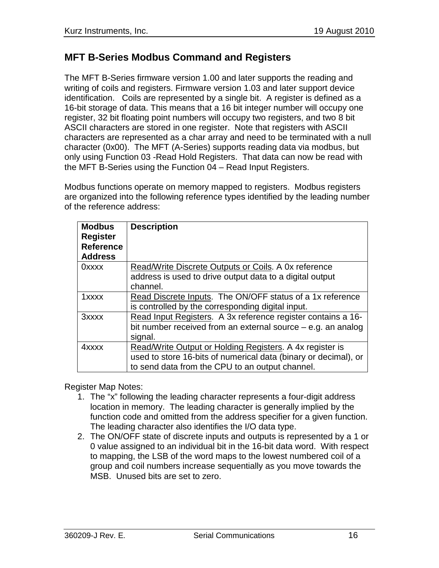## **MFT B-Series Modbus Command and Registers**

The MFT B-Series firmware version 1.00 and later supports the reading and writing of coils and registers. Firmware version 1.03 and later support device identification. Coils are represented by a single bit. A register is defined as a 16-bit storage of data. This means that a 16 bit integer number will occupy one register, 32 bit floating point numbers will occupy two registers, and two 8 bit ASCII characters are stored in one register. Note that registers with ASCII characters are represented as a char array and need to be terminated with a null character (0x00). The MFT (A-Series) supports reading data via modbus, but only using Function 03 -Read Hold Registers. That data can now be read with the MFT B-Series using the Function 04 – Read Input Registers.

Modbus functions operate on memory mapped to registers. Modbus registers are organized into the following reference types identified by the leading number of the reference address:

| <b>Modbus</b><br><b>Register</b><br><b>Reference</b><br><b>Address</b> | <b>Description</b>                                              |
|------------------------------------------------------------------------|-----------------------------------------------------------------|
| 0xxxx                                                                  | Read/Write Discrete Outputs or Coils. A 0x reference            |
|                                                                        | address is used to drive output data to a digital output        |
|                                                                        | channel.                                                        |
| 1xxxx                                                                  | Read Discrete Inputs. The ON/OFF status of a 1x reference       |
|                                                                        | is controlled by the corresponding digital input.               |
| 3xxxx                                                                  | Read Input Registers. A 3x reference register contains a 16-    |
|                                                                        | bit number received from an external source $-$ e.g. an analog  |
|                                                                        | signal.                                                         |
| 4xxxx                                                                  | Read/Write Output or Holding Registers. A 4x register is        |
|                                                                        | used to store 16-bits of numerical data (binary or decimal), or |
|                                                                        | to send data from the CPU to an output channel.                 |

Register Map Notes:

- 1. The "x" following the leading character represents a four-digit address location in memory. The leading character is generally implied by the function code and omitted from the address specifier for a given function. The leading character also identifies the I/O data type.
- 2. The ON/OFF state of discrete inputs and outputs is represented by a 1 or 0 value assigned to an individual bit in the 16-bit data word. With respect to mapping, the LSB of the word maps to the lowest numbered coil of a group and coil numbers increase sequentially as you move towards the MSB. Unused bits are set to zero.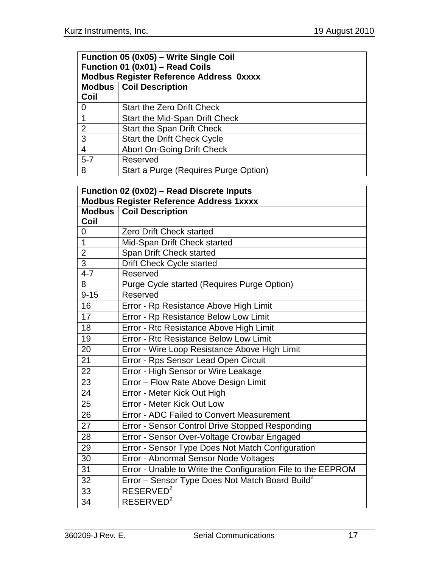|                                                | Function 05 (0x05) - Write Single Coil |  |  |  |
|------------------------------------------------|----------------------------------------|--|--|--|
| Function 01 (0x01) - Read Coils                |                                        |  |  |  |
| <b>Modbus Register Reference Address Oxxxx</b> |                                        |  |  |  |
|                                                | <b>Modbus   Coil Description</b>       |  |  |  |
| Coil                                           |                                        |  |  |  |
| $\Omega$                                       | <b>Start the Zero Drift Check</b>      |  |  |  |
|                                                | Start the Mid-Span Drift Check         |  |  |  |
| 2                                              | <b>Start the Span Drift Check</b>      |  |  |  |
| 3                                              | <b>Start the Drift Check Cycle</b>     |  |  |  |
| $\overline{4}$                                 | <b>Abort On-Going Drift Check</b>      |  |  |  |
| $5 - 7$                                        | Reserved                               |  |  |  |
| 8                                              | Start a Purge (Requires Purge Option)  |  |  |  |

|                                                | Function 02 (0x02) - Read Discrete Inputs                    |  |  |  |  |
|------------------------------------------------|--------------------------------------------------------------|--|--|--|--|
| <b>Modbus Register Reference Address 1xxxx</b> |                                                              |  |  |  |  |
|                                                | <b>Modbus   Coil Description</b>                             |  |  |  |  |
| Coil                                           |                                                              |  |  |  |  |
| 0                                              | Zero Drift Check started                                     |  |  |  |  |
| $\mathbf{1}$                                   | Mid-Span Drift Check started                                 |  |  |  |  |
| $\overline{2}$                                 | Span Drift Check started                                     |  |  |  |  |
| $\overline{3}$                                 | Drift Check Cycle started                                    |  |  |  |  |
| $4 - 7$                                        | Reserved                                                     |  |  |  |  |
| 8                                              | Purge Cycle started (Requires Purge Option)                  |  |  |  |  |
| $9 - 15$                                       | Reserved                                                     |  |  |  |  |
| 16                                             | Error - Rp Resistance Above High Limit                       |  |  |  |  |
| 17                                             | Error - Rp Resistance Below Low Limit                        |  |  |  |  |
| 18                                             | Error - Rtc Resistance Above High Limit                      |  |  |  |  |
| 19                                             | Error - Rtc Resistance Below Low Limit                       |  |  |  |  |
| 20                                             | Error - Wire Loop Resistance Above High Limit                |  |  |  |  |
| 21                                             | Error - Rps Sensor Lead Open Circuit                         |  |  |  |  |
| 22                                             | Error - High Sensor or Wire Leakage                          |  |  |  |  |
| 23                                             | Error - Flow Rate Above Design Limit                         |  |  |  |  |
| 24                                             | Error - Meter Kick Out High                                  |  |  |  |  |
| 25                                             | Error - Meter Kick Out Low                                   |  |  |  |  |
| 26                                             | Error - ADC Failed to Convert Measurement                    |  |  |  |  |
| 27                                             | Error - Sensor Control Drive Stopped Responding              |  |  |  |  |
| 28                                             | Error - Sensor Over-Voltage Crowbar Engaged                  |  |  |  |  |
| 29                                             | Error - Sensor Type Does Not Match Configuration             |  |  |  |  |
| 30                                             | Error - Abnormal Sensor Node Voltages                        |  |  |  |  |
| 31                                             | Error - Unable to Write the Configuration File to the EEPROM |  |  |  |  |
| 32                                             | Error - Sensor Type Does Not Match Board Build <sup>2</sup>  |  |  |  |  |
| 33                                             | RESERVED <sup>2</sup>                                        |  |  |  |  |
| 34                                             | RESERVED <sup>2</sup>                                        |  |  |  |  |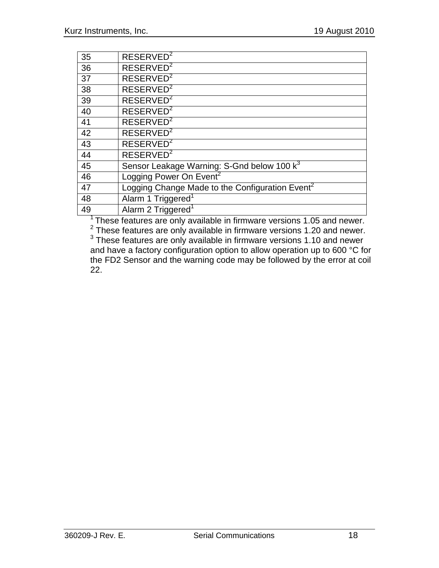| 35 | RESERVED <sup>2</sup>                                       |
|----|-------------------------------------------------------------|
| 36 | RESERVED <sup>2</sup>                                       |
| 37 | RESERVED <sup>2</sup>                                       |
| 38 | RESERVED <sup>2</sup>                                       |
| 39 | RESERVED <sup>2</sup>                                       |
| 40 | RESERVED <sup>2</sup>                                       |
| 41 | RESERVED <sup>2</sup>                                       |
| 42 | RESERVED <sup>2</sup>                                       |
| 43 | RESERVED <sup>2</sup>                                       |
| 44 | RESERVED <sup>2</sup>                                       |
| 45 | Sensor Leakage Warning: S-Gnd below 100 k <sup>3</sup>      |
| 46 | Logging Power On Event <sup>2</sup>                         |
| 47 | Logging Change Made to the Configuration Event <sup>2</sup> |
| 48 | Alarm 1 Triggered <sup>1</sup>                              |
| 49 | Alarm 2 Triggered <sup>1</sup>                              |

These features are only available in firmware versions 1.05 and newer.

 These features are only available in firmware versions 1.20 and newer. These features are only available in firmware versions 1.10 and newer and have a factory configuration option to allow operation up to 600 °C for the FD2 Sensor and the warning code may be followed by the error at coil 22.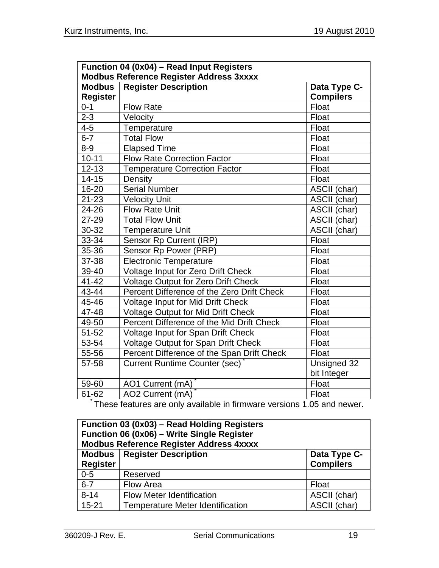| Function 04 (0x04) - Read Input Registers                              |                                            |                  |  |  |
|------------------------------------------------------------------------|--------------------------------------------|------------------|--|--|
| <b>Modbus Reference Register Address 3xxxx</b>                         |                                            |                  |  |  |
| <b>Modbus</b>                                                          | <b>Register Description</b>                | Data Type C-     |  |  |
| <b>Register</b>                                                        |                                            | <b>Compilers</b> |  |  |
| $0 - 1$                                                                | <b>Flow Rate</b>                           | Float            |  |  |
| $2 - 3$                                                                | Velocity                                   | Float            |  |  |
| $4 - 5$                                                                | Temperature                                | Float            |  |  |
| $6 - 7$                                                                | <b>Total Flow</b>                          | Float            |  |  |
| $8 - 9$                                                                | <b>Elapsed Time</b>                        | Float            |  |  |
| $10 - 11$                                                              | <b>Flow Rate Correction Factor</b>         | Float            |  |  |
| $12 - 13$                                                              | <b>Temperature Correction Factor</b>       | Float            |  |  |
| $14 - 15$                                                              | Density                                    | Float            |  |  |
| 16-20                                                                  | <b>Serial Number</b>                       | ASCII (char)     |  |  |
| $21 - 23$                                                              | <b>Velocity Unit</b>                       | ASCII (char)     |  |  |
| 24-26                                                                  | <b>Flow Rate Unit</b>                      | ASCII (char)     |  |  |
| 27-29                                                                  | <b>Total Flow Unit</b>                     | ASCII (char)     |  |  |
| 30-32                                                                  | <b>Temperature Unit</b>                    | ASCII (char)     |  |  |
| 33-34                                                                  | Sensor Rp Current (IRP)                    | Float            |  |  |
| 35-36                                                                  | Sensor Rp Power (PRP)                      | Float            |  |  |
| 37-38                                                                  | <b>Electronic Temperature</b>              | Float            |  |  |
| 39-40                                                                  | Voltage Input for Zero Drift Check         | Float            |  |  |
| $41 - 42$                                                              | <b>Voltage Output for Zero Drift Check</b> | Float            |  |  |
| 43-44                                                                  | Percent Difference of the Zero Drift Check | Float            |  |  |
| 45-46                                                                  | Voltage Input for Mid Drift Check          | Float            |  |  |
| 47-48                                                                  | <b>Voltage Output for Mid Drift Check</b>  | Float            |  |  |
| 49-50                                                                  | Percent Difference of the Mid Drift Check  | Float            |  |  |
| 51-52                                                                  | Voltage Input for Span Drift Check         | Float            |  |  |
| 53-54                                                                  | Voltage Output for Span Drift Check        | Float            |  |  |
| 55-56                                                                  | Percent Difference of the Span Drift Check | Float            |  |  |
| 57-58                                                                  | <b>Current Runtime Counter (sec)</b>       | Unsigned 32      |  |  |
|                                                                        |                                            | bit Integer      |  |  |
| 59-60                                                                  | AO1 Current (mA)                           | Float            |  |  |
| $61 - 62$                                                              | AO2 Current (mA)                           | Float            |  |  |
| These features are only available in firmware versions 1.05 and newer. |                                            |                  |  |  |

| Function 03 (0x03) – Read Holding Registers<br>Function 06 (0x06) - Write Single Register<br><b>Modbus Reference Register Address 4xxxx</b> |                                         |                  |  |  |
|---------------------------------------------------------------------------------------------------------------------------------------------|-----------------------------------------|------------------|--|--|
|                                                                                                                                             | <b>Modbus</b>   Register Description    | Data Type C-     |  |  |
| <b>Register</b>                                                                                                                             |                                         | <b>Compilers</b> |  |  |
| $0 - 5$                                                                                                                                     | Reserved                                |                  |  |  |
| $6 - 7$                                                                                                                                     | Flow Area                               | Float            |  |  |
| $8 - 14$                                                                                                                                    | <b>Flow Meter Identification</b>        | ASCII (char)     |  |  |
| $15 - 21$                                                                                                                                   | <b>Temperature Meter Identification</b> | ASCII (char)     |  |  |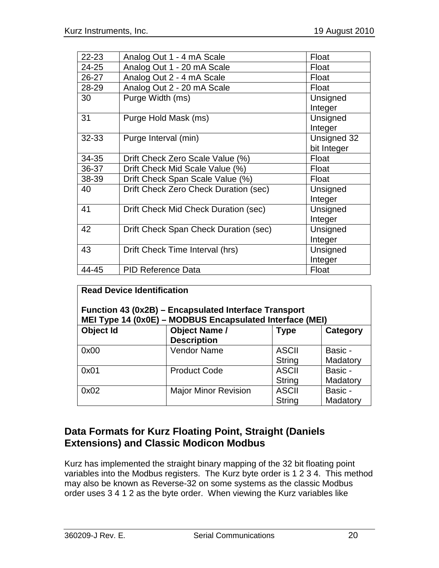| $22 - 23$ | Analog Out 1 - 4 mA Scale             | Float       |
|-----------|---------------------------------------|-------------|
| 24-25     | Analog Out 1 - 20 mA Scale            | Float       |
| 26-27     | Analog Out 2 - 4 mA Scale             | Float       |
| 28-29     | Analog Out 2 - 20 mA Scale            | Float       |
| 30        | Purge Width (ms)                      | Unsigned    |
|           |                                       | Integer     |
| 31        | Purge Hold Mask (ms)                  | Unsigned    |
|           |                                       | Integer     |
| 32-33     | Purge Interval (min)                  | Unsigned 32 |
|           |                                       | bit Integer |
| 34-35     | Drift Check Zero Scale Value (%)      | Float       |
| 36-37     | Drift Check Mid Scale Value (%)       | Float       |
| 38-39     | Drift Check Span Scale Value (%)      | Float       |
| 40        | Drift Check Zero Check Duration (sec) | Unsigned    |
|           |                                       | Integer     |
| 41        | Drift Check Mid Check Duration (sec)  | Unsigned    |
|           |                                       | Integer     |
| 42        | Drift Check Span Check Duration (sec) | Unsigned    |
|           |                                       | Integer     |
| 43        | Drift Check Time Interval (hrs)       | Unsigned    |
|           |                                       | Integer     |
| 44-45     | <b>PID Reference Data</b>             | Float       |

| <b>Read Device Identification</b><br>Function 43 (0x2B) – Encapsulated Interface Transport<br>MEI Type 14 (0x0E) - MODBUS Encapsulated Interface (MEI) |                                            |                               |                     |  |  |  |
|--------------------------------------------------------------------------------------------------------------------------------------------------------|--------------------------------------------|-------------------------------|---------------------|--|--|--|
| Object Id                                                                                                                                              | <b>Object Name /</b><br><b>Description</b> | <b>Type</b>                   | Category            |  |  |  |
| 0x00                                                                                                                                                   | <b>Vendor Name</b>                         | <b>ASCII</b><br><b>String</b> | Basic -<br>Madatory |  |  |  |
| 0x01                                                                                                                                                   | <b>Product Code</b>                        | <b>ASCII</b><br><b>String</b> | Basic -<br>Madatory |  |  |  |
| 0x02                                                                                                                                                   | <b>Major Minor Revision</b>                | <b>ASCII</b><br><b>String</b> | Basic -<br>Madatory |  |  |  |

# **Data Formats for Kurz Floating Point, Straight (Daniels Extensions) and Classic Modicon Modbus**

Kurz has implemented the straight binary mapping of the 32 bit floating point variables into the Modbus registers. The Kurz byte order is 1 2 3 4. This method may also be known as Reverse-32 on some systems as the classic Modbus order uses 3 4 1 2 as the byte order. When viewing the Kurz variables like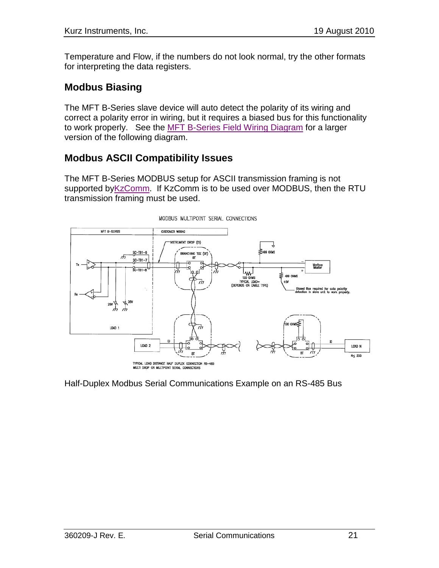Temperature and Flow, if the numbers do not look normal, try the other formats for interpreting the data registers.

## **Modbus Biasing**

The MFT B-Series slave device will auto detect the polarity of its wiring and correct a polarity error in wiring, but it requires a biased bus for this functionality to work properly. See the MFT B-Series Field Wiring Diagram for a larger version of the following diagram.

## **Modbus ASCII Compatibility Issues**

The MFT B-Series MODBUS setup for ASCII transmission framing is not supported by KzComm. If KzComm is to be used over MODBUS, then the RTU transmission framing must be used.



Half-Duplex Modbus Serial Communications Example on an RS-485 Bus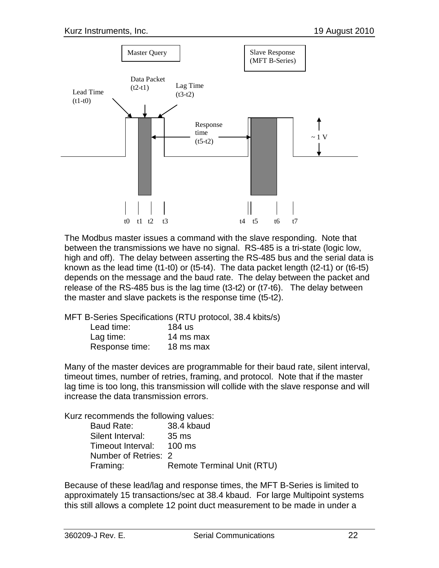

The Modbus master issues a command with the slave responding. Note that between the transmissions we have no signal. RS-485 is a tri-state (logic low, high and off). The delay between asserting the RS-485 bus and the serial data is known as the lead time (t1-t0) or (t5-t4). The data packet length (t2-t1) or (t6-t5) depends on the message and the baud rate. The delay between the packet and release of the RS-485 bus is the lag time (t3-t2) or (t7-t6). The delay between the master and slave packets is the response time (t5-t2).

MFT B-Series Specifications (RTU protocol, 38.4 kbits/s)

| Lead time:     | 184 us    |
|----------------|-----------|
| Lag time:      | 14 ms max |
| Response time: | 18 ms max |

Many of the master devices are programmable for their baud rate, silent interval, timeout times, number of retries, framing, and protocol. Note that if the master lag time is too long, this transmission will collide with the slave response and will increase the data transmission errors.

Kurz recommends the following values:

| Baud Rate:               | 38.4 kbaud                        |
|--------------------------|-----------------------------------|
| Silent Interval:         | 35 ms                             |
| Timeout Interval: 100 ms |                                   |
| Number of Retries: 2     |                                   |
| Framing:                 | <b>Remote Terminal Unit (RTU)</b> |

Because of these lead/lag and response times, the MFT B-Series is limited to approximately 15 transactions/sec at 38.4 kbaud. For large Multipoint systems this still allows a complete 12 point duct measurement to be made in under a